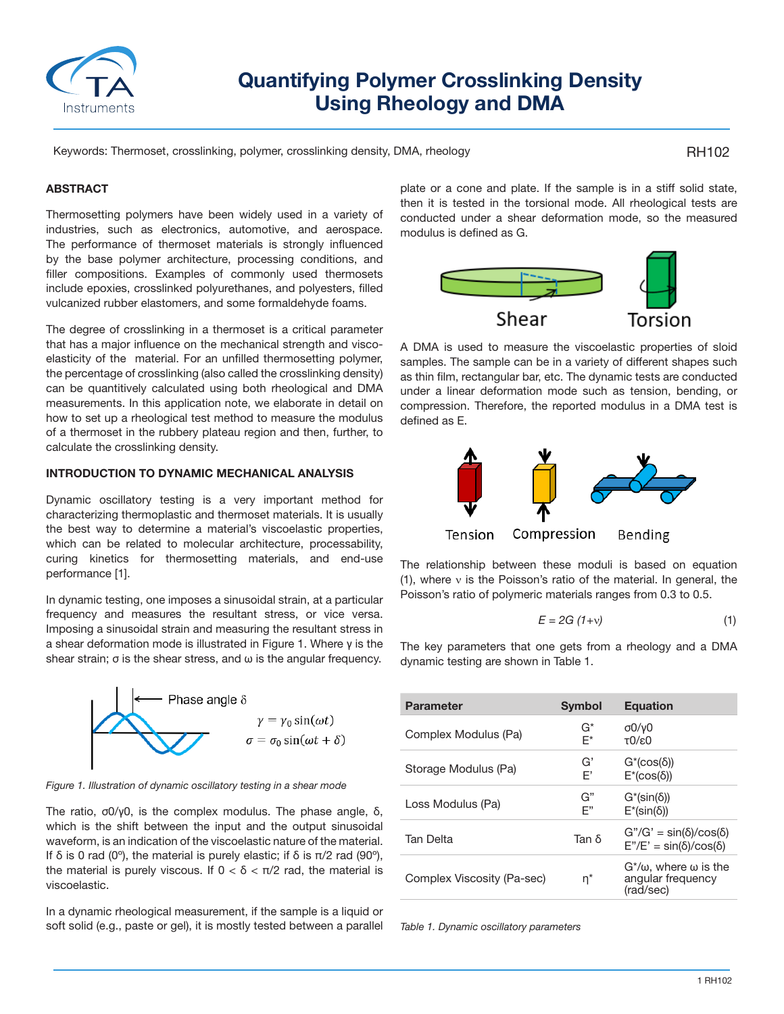

# **Quantifying Polymer Crosslinking Density Using Rheology and DMA**

Keywords: Thermoset, crosslinking, polymer, crosslinking density, DMA, rheology

#### RH102

### **ABSTRACT**

Thermosetting polymers have been widely used in a variety of industries, such as electronics, automotive, and aerospace. The performance of thermoset materials is strongly influenced by the base polymer architecture, processing conditions, and filler compositions. Examples of commonly used thermosets include epoxies, crosslinked polyurethanes, and polyesters, filled vulcanized rubber elastomers, and some formaldehyde foams.

The degree of crosslinking in a thermoset is a critical parameter that has a major influence on the mechanical strength and viscoelasticity of the material. For an unfilled thermosetting polymer, the percentage of crosslinking (also called the crosslinking density) can be quantitively calculated using both rheological and DMA measurements. In this application note, we elaborate in detail on how to set up a rheological test method to measure the modulus of a thermoset in the rubbery plateau region and then, further, to calculate the crosslinking density.

#### **INTRODUCTION TO DYNAMIC MECHANICAL ANALYSIS**

Dynamic oscillatory testing is a very important method for characterizing thermoplastic and thermoset materials. It is usually the best way to determine a material's viscoelastic properties, which can be related to molecular architecture, processability, curing kinetics for thermosetting materials, and end-use performance [1].

In dynamic testing, one imposes a sinusoidal strain, at a particular frequency and measures the resultant stress, or vice versa. Imposing a sinusoidal strain and measuring the resultant stress in a shear deformation mode is illustrated in Figure 1. Where γ is the shear strain;  $\sigma$  is the shear stress, and  $\omega$  is the angular frequency.



*Figure 1. Illustration of dynamic oscillatory testing in a shear mode*

The ratio, σ0/γ0, is the complex modulus. The phase angle, δ, which is the shift between the input and the output sinusoidal waveform, is an indication of the viscoelastic nature of the material. If δ is 0 rad (0<sup>o</sup>), the material is purely elastic; if δ is  $π/2$  rad (90<sup>o</sup>), the material is purely viscous. If  $0 < δ < π/2$  rad, the material is viscoelastic.

In a dynamic rheological measurement, if the sample is a liquid or soft solid (e.g., paste or gel), it is mostly tested between a parallel plate or a cone and plate. If the sample is in a stiff solid state, then it is tested in the torsional mode. All rheological tests are conducted under a shear deformation mode, so the measured modulus is defined as G.



A DMA is used to measure the viscoelastic properties of sloid samples. The sample can be in a variety of different shapes such as thin film, rectangular bar, etc. The dynamic tests are conducted under a linear deformation mode such as tension, bending, or compression. Therefore, the reported modulus in a DMA test is defined as E.



The relationship between these moduli is based on equation (1), where ν is the Poisson's ratio of the material. In general, the Poisson's ratio of polymeric materials ranges from 0.3 to 0.5.

$$
E = 2G (1+v) \tag{1}
$$

The key parameters that one gets from a rheology and a DMA dynamic testing are shown in Table 1.

| <b>Parameter</b>           | <b>Symbol</b> | <b>Equation</b>                                                            |
|----------------------------|---------------|----------------------------------------------------------------------------|
| Complex Modulus (Pa)       | G*<br>F*      | $\sigma$ 0/y0<br>$T() \in \Omega$                                          |
| Storage Modulus (Pa)       | G'<br>F'      | $G^*(\cos(\delta))$<br>$E^*(\cos(\delta))$                                 |
| Loss Modulus (Pa)          | G"<br>F"      | $G^*(sin(\delta))$<br>$E^*(sin(\delta))$                                   |
| <b>Tan Delta</b>           | Tan δ         | $G''/G' = \sin(\delta)/\cos(\delta)$<br>$E''/E' = sin(\delta)/cos(\delta)$ |
| Complex Viscosity (Pa-sec) | $n^*$         | $G^*/\omega$ , where $\omega$ is the<br>angular frequency<br>(rad/sec)     |

*Table 1. Dynamic oscillatory parameters*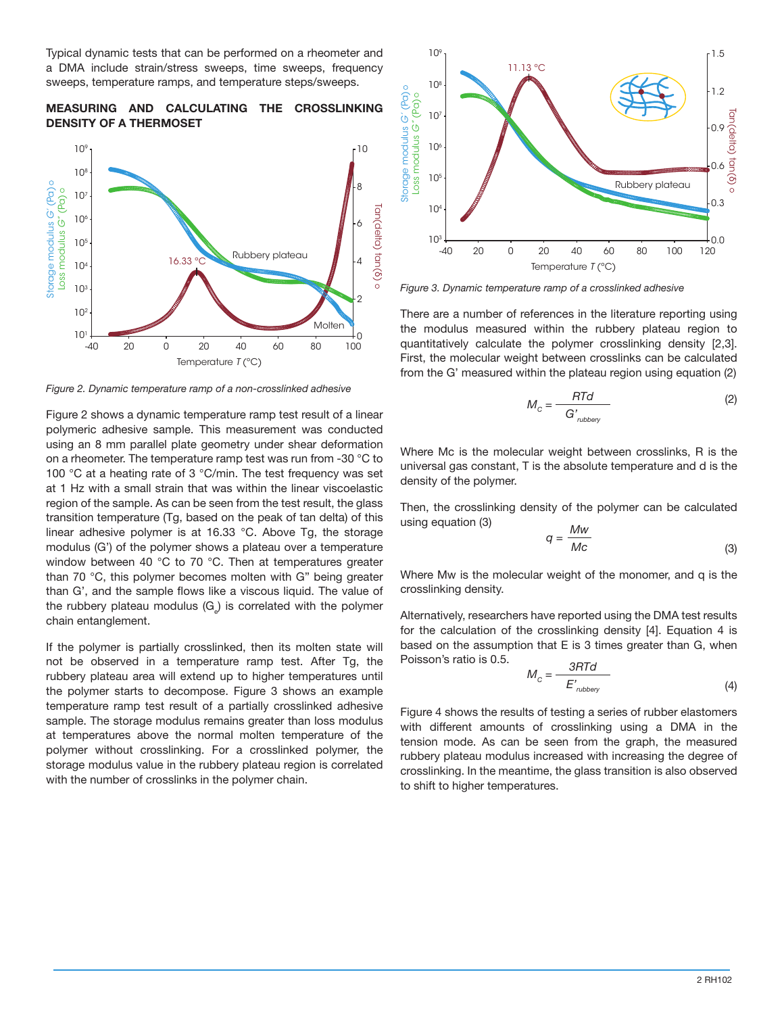Typical dynamic tests that can be performed on a rheometer and a DMA include strain/stress sweeps, time sweeps, frequency sweeps, temperature ramps, and temperature steps/sweeps.

## **MEASURING AND CALCULATING THE CROSSLINKING DENSITY OF A THERMOSET**



*Figure 2. Dynamic temperature ramp of a non-crosslinked adhesive*

Figure 2 shows a dynamic temperature ramp test result of a linear polymeric adhesive sample. This measurement was conducted using an 8 mm parallel plate geometry under shear deformation on a rheometer. The temperature ramp test was run from -30 °C to 100 °C at a heating rate of 3 °C/min. The test frequency was set at 1 Hz with a small strain that was within the linear viscoelastic region of the sample. As can be seen from the test result, the glass transition temperature (Tg, based on the peak of tan delta) of this linear adhesive polymer is at 16.33 °C. Above Tg, the storage modulus (G') of the polymer shows a plateau over a temperature window between 40 °C to 70 °C. Then at temperatures greater than 70 °C, this polymer becomes molten with G" being greater than G', and the sample flows like a viscous liquid. The value of the rubbery plateau modulus (G<sub>e</sub>) is correlated with the polymer chain entanglement.

If the polymer is partially crosslinked, then its molten state will not be observed in a temperature ramp test. After Tg, the rubbery plateau area will extend up to higher temperatures until the polymer starts to decompose. Figure 3 shows an example temperature ramp test result of a partially crosslinked adhesive sample. The storage modulus remains greater than loss modulus at temperatures above the normal molten temperature of the polymer without crosslinking. For a crosslinked polymer, the storage modulus value in the rubbery plateau region is correlated with the number of crosslinks in the polymer chain.



*Figure 3. Dynamic temperature ramp of a crosslinked adhesive*

There are a number of references in the literature reporting using the modulus measured within the rubbery plateau region to quantitatively calculate the polymer crosslinking density [2,3]. First, the molecular weight between crosslinks can be calculated from the G' measured within the plateau region using equation (2)

$$
M_{\rm c} = \frac{RTd}{G'_{\rm nubbery}}\tag{2}
$$

Where Mc is the molecular weight between crosslinks, R is the universal gas constant, T is the absolute temperature and d is the density of the polymer.

Then, the crosslinking density of the polymer can be calculated using equation (3) *<sup>q</sup>* = *Mw*

$$
q = \frac{WW}{Mc}
$$
 (3)

Where Mw is the molecular weight of the monomer, and q is the crosslinking density.

Alternatively, researchers have reported using the DMA test results for the calculation of the crosslinking density [4]. Equation 4 is based on the assumption that E is 3 times greater than G, when Poisson's ratio is 0.5.

$$
M_{\rm c} = \frac{3RTd}{E'_{\rm nubbery}}\tag{4}
$$

Figure 4 shows the results of testing a series of rubber elastomers with different amounts of crosslinking using a DMA in the tension mode. As can be seen from the graph, the measured rubbery plateau modulus increased with increasing the degree of crosslinking. In the meantime, the glass transition is also observed to shift to higher temperatures.